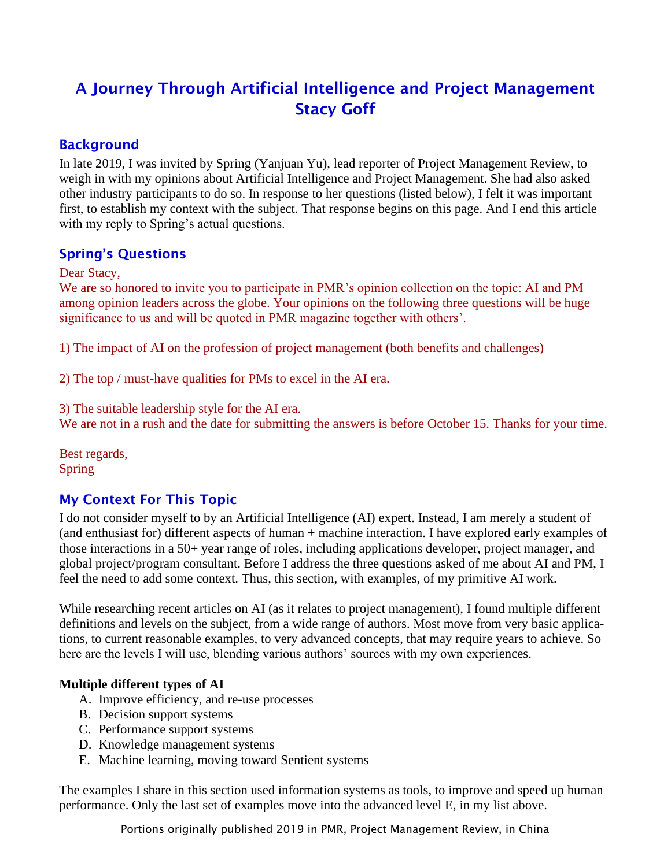# A Journey Through Artificial Intelligence and Project Management Stacy Goff

# Background

In late 2019, I was invited by Spring (Yanjuan Yu), lead reporter of Project Management Review, to weigh in with my opinions about Artificial Intelligence and Project Management. She had also asked other industry participants to do so. In response to her questions (listed below), I felt it was important first, to establish my context with the subject. That response begins on this page. And I end this article with my reply to Spring's actual questions.

# Spring's Questions

#### Dear Stacy,

We are so honored to invite you to participate in PMR's opinion collection on the topic: AI and PM among opinion leaders across the globe. Your opinions on the following three questions will be huge significance to us and will be quoted in PMR magazine together with others'.

1) The impact of AI on the profession of project management (both benefits and challenges)

2) The top / must-have qualities for PMs to excel in the AI era.

3) The suitable leadership style for the AI era.

We are not in a rush and the date for submitting the answers is before October 15. Thanks for your time.

Best regards, Spring

# My Context For This Topic

I do not consider myself to by an Artificial Intelligence (AI) expert. Instead, I am merely a student of (and enthusiast for) different aspects of human + machine interaction. I have explored early examples of those interactions in a 50+ year range of roles, including applications developer, project manager, and global project/program consultant. Before I address the three questions asked of me about AI and PM, I feel the need to add some context. Thus, this section, with examples, of my primitive AI work.

While researching recent articles on AI (as it relates to project management), I found multiple different definitions and levels on the subject, from a wide range of authors. Most move from very basic applications, to current reasonable examples, to very advanced concepts, that may require years to achieve. So here are the levels I will use, blending various authors' sources with my own experiences.

### **Multiple different types of AI**

- A. Improve efficiency, and re-use processes
- B. Decision support systems
- C. Performance support systems
- D. Knowledge management systems
- E. Machine learning, moving toward Sentient systems

The examples I share in this section used information systems as tools, to improve and speed up human performance. Only the last set of examples move into the advanced level E, in my list above.

Portions originally published 2019 in PMR, Project Management Review, in China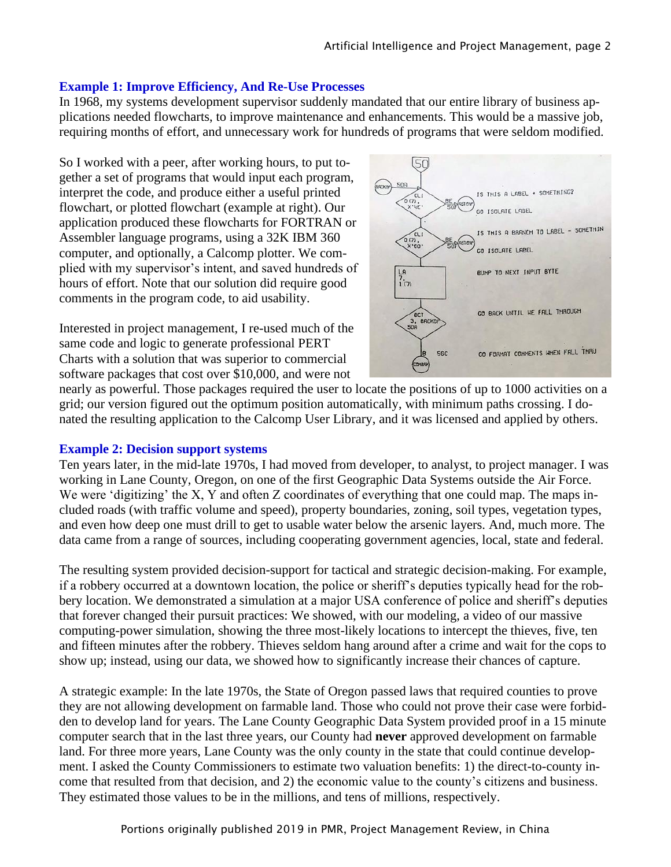#### **Example 1: Improve Efficiency, And Re-Use Processes**

In 1968, my systems development supervisor suddenly mandated that our entire library of business applications needed flowcharts, to improve maintenance and enhancements. This would be a massive job, requiring months of effort, and unnecessary work for hundreds of programs that were seldom modified.

So I worked with a peer, after working hours, to put together a set of programs that would input each program, interpret the code, and produce either a useful printed flowchart, or plotted flowchart (example at right). Our application produced these flowcharts for FORTRAN or Assembler language programs, using a 32K IBM 360 computer, and optionally, a Calcomp plotter. We complied with my supervisor's intent, and saved hundreds of hours of effort. Note that our solution did require good comments in the program code, to aid usability.

Interested in project management, I re-used much of the same code and logic to generate professional PERT Charts with a solution that was superior to commercial software packages that cost over \$10,000, and were not



nearly as powerful. Those packages required the user to locate the positions of up to 1000 activities on a grid; our version figured out the optimum position automatically, with minimum paths crossing. I donated the resulting application to the Calcomp User Library, and it was licensed and applied by others.

#### **Example 2: Decision support systems**

Ten years later, in the mid-late 1970s, I had moved from developer, to analyst, to project manager. I was working in Lane County, Oregon, on one of the first Geographic Data Systems outside the Air Force. We were 'digitizing' the X, Y and often Z coordinates of everything that one could map. The maps included roads (with traffic volume and speed), property boundaries, zoning, soil types, vegetation types, and even how deep one must drill to get to usable water below the arsenic layers. And, much more. The data came from a range of sources, including cooperating government agencies, local, state and federal.

The resulting system provided decision-support for tactical and strategic decision-making. For example, if a robbery occurred at a downtown location, the police or sheriff's deputies typically head for the robbery location. We demonstrated a simulation at a major USA conference of police and sheriff's deputies that forever changed their pursuit practices: We showed, with our modeling, a video of our massive computing-power simulation, showing the three most-likely locations to intercept the thieves, five, ten and fifteen minutes after the robbery. Thieves seldom hang around after a crime and wait for the cops to show up; instead, using our data, we showed how to significantly increase their chances of capture.

A strategic example: In the late 1970s, the State of Oregon passed laws that required counties to prove they are not allowing development on farmable land. Those who could not prove their case were forbidden to develop land for years. The Lane County Geographic Data System provided proof in a 15 minute computer search that in the last three years, our County had **never** approved development on farmable land. For three more years, Lane County was the only county in the state that could continue development. I asked the County Commissioners to estimate two valuation benefits: 1) the direct-to-county income that resulted from that decision, and 2) the economic value to the county's citizens and business. They estimated those values to be in the millions, and tens of millions, respectively.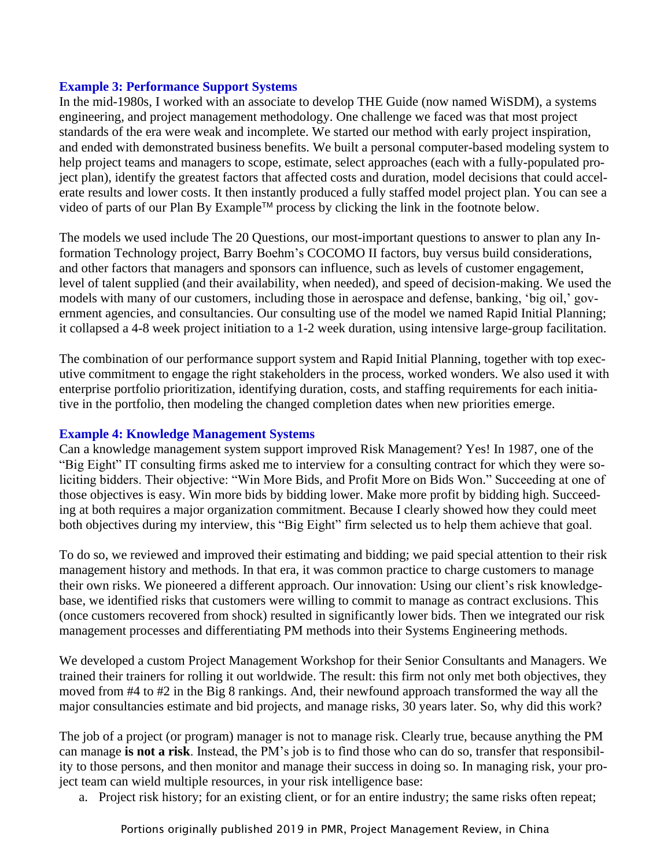#### **Example 3: Performance Support Systems**

In the mid-1980s, I worked with an associate to develop THE Guide (now named WiSDM), a systems engineering, and project management methodology. One challenge we faced was that most project standards of the era were weak and incomplete. We started our method with early project inspiration, and ended with demonstrated business benefits. We built a personal computer-based modeling system to help project teams and managers to scope, estimate, select approaches (each with a fully-populated project plan), identify the greatest factors that affected costs and duration, model decisions that could accelerate results and lower costs. It then instantly produced a fully staffed model project plan. You can see a video of parts of our Plan By Example™ process by clicking the link in the footnote below.

The models we used include The 20 Questions, our most-important questions to answer to plan any Information Technology project, Barry Boehm's COCOMO II factors, buy versus build considerations, and other factors that managers and sponsors can influence, such as levels of customer engagement, level of talent supplied (and their availability, when needed), and speed of decision-making. We used the models with many of our customers, including those in aerospace and defense, banking, 'big oil,' government agencies, and consultancies. Our consulting use of the model we named Rapid Initial Planning; it collapsed a 4-8 week project initiation to a 1-2 week duration, using intensive large-group facilitation.

The combination of our performance support system and Rapid Initial Planning, together with top executive commitment to engage the right stakeholders in the process, worked wonders. We also used it with enterprise portfolio prioritization, identifying duration, costs, and staffing requirements for each initiative in the portfolio, then modeling the changed completion dates when new priorities emerge.

#### **Example 4: Knowledge Management Systems**

Can a knowledge management system support improved Risk Management? Yes! In 1987, one of the "Big Eight" IT consulting firms asked me to interview for a consulting contract for which they were soliciting bidders. Their objective: "Win More Bids, and Profit More on Bids Won." Succeeding at one of those objectives is easy. Win more bids by bidding lower. Make more profit by bidding high. Succeeding at both requires a major organization commitment. Because I clearly showed how they could meet both objectives during my interview, this "Big Eight" firm selected us to help them achieve that goal.

To do so, we reviewed and improved their estimating and bidding; we paid special attention to their risk management history and methods. In that era, it was common practice to charge customers to manage their own risks. We pioneered a different approach. Our innovation: Using our client's risk knowledgebase, we identified risks that customers were willing to commit to manage as contract exclusions. This (once customers recovered from shock) resulted in significantly lower bids. Then we integrated our risk management processes and differentiating PM methods into their Systems Engineering methods.

We developed a custom Project Management Workshop for their Senior Consultants and Managers. We trained their trainers for rolling it out worldwide. The result: this firm not only met both objectives, they moved from #4 to #2 in the Big 8 rankings. And, their newfound approach transformed the way all the major consultancies estimate and bid projects, and manage risks, 30 years later. So, why did this work?

The job of a project (or program) manager is not to manage risk. Clearly true, because anything the PM can manage **is not a risk**. Instead, the PM's job is to find those who can do so, transfer that responsibility to those persons, and then monitor and manage their success in doing so. In managing risk, your project team can wield multiple resources, in your risk intelligence base:

a. Project risk history; for an existing client, or for an entire industry; the same risks often repeat;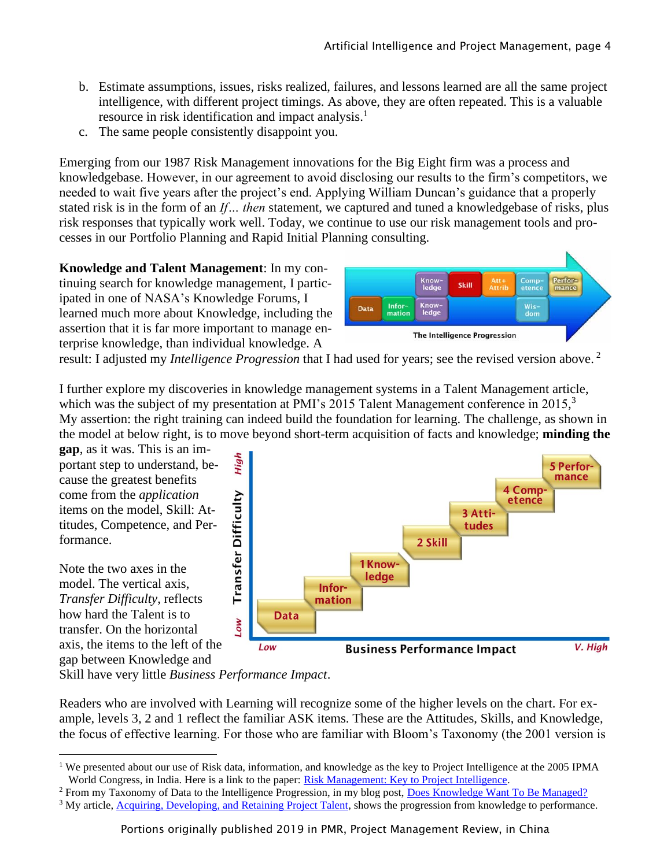- b. Estimate assumptions, issues, risks realized, failures, and lessons learned are all the same project intelligence, with different project timings. As above, they are often repeated. This is a valuable resource in risk identification and impact analysis. 1
- c. The same people consistently disappoint you.

Emerging from our 1987 Risk Management innovations for the Big Eight firm was a process and knowledgebase. However, in our agreement to avoid disclosing our results to the firm's competitors, we needed to wait five years after the project's end. Applying William Duncan's guidance that a properly stated risk is in the form of an *If… then* statement, we captured and tuned a knowledgebase of risks, plus risk responses that typically work well. Today, we continue to use our risk management tools and processes in our Portfolio Planning and Rapid Initial Planning consulting.

**Knowledge and Talent Management**: In my continuing search for knowledge management, I participated in one of NASA's Knowledge Forums, I learned much more about Knowledge, including the assertion that it is far more important to manage enterprise knowledge, than individual knowledge. A



result: I adjusted my *Intelligence Progression* that I had used for years; see the revised version above. 2

I further explore my discoveries in knowledge management systems in a Talent Management article, which was the subject of my presentation at PMI's 2015 Talent Management conference in 2015,<sup>3</sup> My assertion: the right training can indeed build the foundation for learning. The challenge, as shown in the model at below right, is to move beyond short-term acquisition of facts and knowledge; **minding the** 

**gap**, as it was. This is an important step to understand, because the greatest benefits come from the *application* items on the model, Skill: Attitudes, Competence, and Performance.

Note the two axes in the model. The vertical axis, *Transfer Difficulty*, reflects how hard the Talent is to transfer. On the horizontal axis, the items to the left of the gap between Knowledge and



Skill have very little *Business Performance Impact*.

Readers who are involved with Learning will recognize some of the higher levels on the chart. For example, levels 3, 2 and 1 reflect the familiar ASK items. These are the Attitudes, Skills, and Knowledge, the focus of effective learning. For those who are familiar with Bloom's Taxonomy (the 2001 version is

<sup>&</sup>lt;sup>1</sup> We presented about our use of Risk data, information, and knowledge as the key to Project Intelligence at the 2005 IPMA World Congress, in India. Here is a link to the paper: [Risk Management: Key to Project Intelligence.](https://projectexperts.com/assets/RiskKeyToProjectIntelligence.pdf)

<sup>&</sup>lt;sup>2</sup> From my Taxonomy of Data to the Intelligence Progression, in my blog post, [Does Knowledge Want To Be Managed?](https://projectexperts.com/does-knowledge-want-to-be-managed/)

<sup>&</sup>lt;sup>3</sup> My article, [Acquiring, Developing, and Retaining Project Talent,](https://projectexperts.com/assets/DevelopingTalent.pdf) shows the progression from knowledge to performance.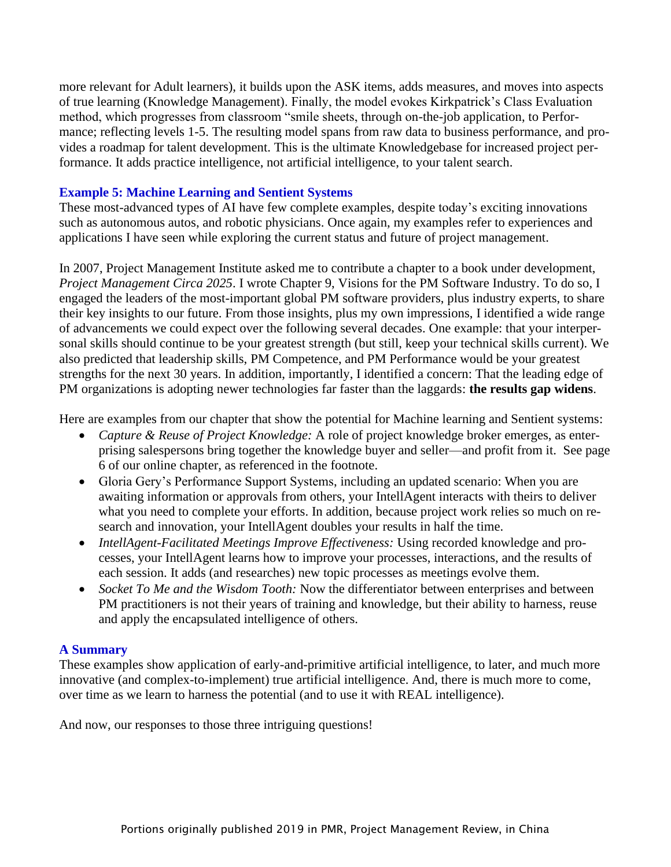more relevant for Adult learners), it builds upon the ASK items, adds measures, and moves into aspects of true learning (Knowledge Management). Finally, the model evokes Kirkpatrick's Class Evaluation method, which progresses from classroom "smile sheets, through on-the-job application, to Performance; reflecting levels 1-5. The resulting model spans from raw data to business performance, and provides a roadmap for talent development. This is the ultimate Knowledgebase for increased project performance. It adds practice intelligence, not artificial intelligence, to your talent search.

#### **Example 5: Machine Learning and Sentient Systems**

These most-advanced types of AI have few complete examples, despite today's exciting innovations such as autonomous autos, and robotic physicians. Once again, my examples refer to experiences and applications I have seen while exploring the current status and future of project management.

In 2007, Project Management Institute asked me to contribute a chapter to a book under development, *Project Management Circa 2025*. I wrote Chapter 9, Visions for the PM Software Industry. To do so, I engaged the leaders of the most-important global PM software providers, plus industry experts, to share their key insights to our future. From those insights, plus my own impressions, I identified a wide range of advancements we could expect over the following several decades. One example: that your interpersonal skills should continue to be your greatest strength (but still, keep your technical skills current). We also predicted that leadership skills, PM Competence, and PM Performance would be your greatest strengths for the next 30 years. In addition, importantly, I identified a concern: That the leading edge of PM organizations is adopting newer technologies far faster than the laggards: **the results gap widens**.

Here are examples from our chapter that show the potential for Machine learning and Sentient systems:

- *Capture & Reuse of Project Knowledge:* A role of project knowledge broker emerges, as enterprising salespersons bring together the knowledge buyer and seller—and profit from it. See page 6 of our online chapter, as referenced in the footnote.
- Gloria Gery's Performance Support Systems, including an updated scenario: When you are awaiting information or approvals from others, your IntellAgent interacts with theirs to deliver what you need to complete your efforts. In addition, because project work relies so much on research and innovation, your IntellAgent doubles your results in half the time.
- *IntellAgent-Facilitated Meetings Improve Effectiveness:* Using recorded knowledge and processes, your IntellAgent learns how to improve your processes, interactions, and the results of each session. It adds (and researches) new topic processes as meetings evolve them.
- *Socket To Me and the Wisdom Tooth:* Now the differentiator between enterprises and between PM practitioners is not their years of training and knowledge, but their ability to harness, reuse and apply the encapsulated intelligence of others.

#### **A Summary**

These examples show application of early-and-primitive artificial intelligence, to later, and much more innovative (and complex-to-implement) true artificial intelligence. And, there is much more to come, over time as we learn to harness the potential (and to use it with REAL intelligence).

And now, our responses to those three intriguing questions!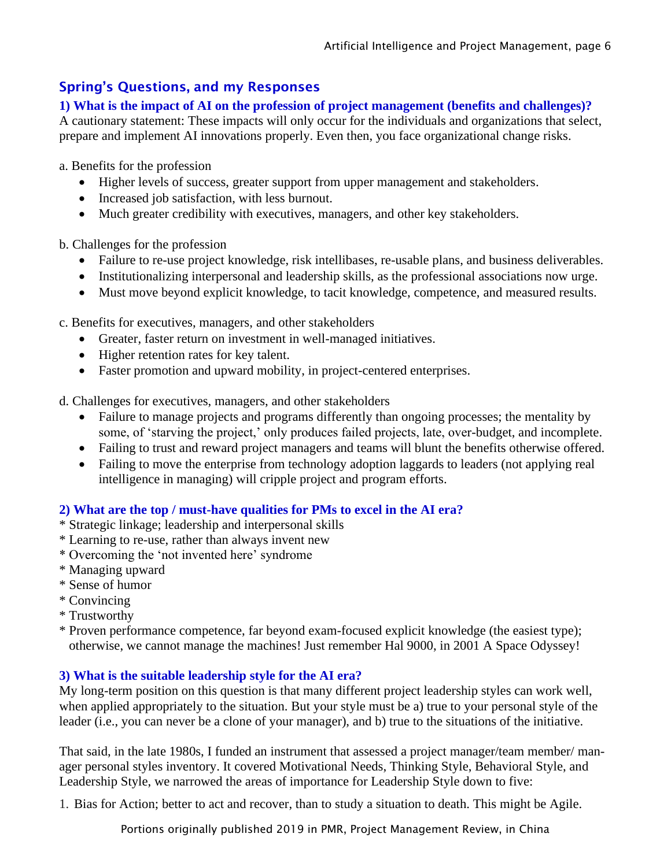# Spring's Questions, and my Responses

**1) What is the impact of AI on the profession of project management (benefits and challenges)?**

A cautionary statement: These impacts will only occur for the individuals and organizations that select, prepare and implement AI innovations properly. Even then, you face organizational change risks.

a. Benefits for the profession

- Higher levels of success, greater support from upper management and stakeholders.
- Increased job satisfaction, with less burnout.
- Much greater credibility with executives, managers, and other key stakeholders.

b. Challenges for the profession

- Failure to re-use project knowledge, risk intellibases, re-usable plans, and business deliverables.
- Institutionalizing interpersonal and leadership skills, as the professional associations now urge.
- Must move beyond explicit knowledge, to tacit knowledge, competence, and measured results.

c. Benefits for executives, managers, and other stakeholders

- Greater, faster return on investment in well-managed initiatives.
- Higher retention rates for key talent.
- Faster promotion and upward mobility, in project-centered enterprises.

d. Challenges for executives, managers, and other stakeholders

- Failure to manage projects and programs differently than ongoing processes; the mentality by some, of 'starving the project,' only produces failed projects, late, over-budget, and incomplete.
- Failing to trust and reward project managers and teams will blunt the benefits otherwise offered.
- Failing to move the enterprise from technology adoption laggards to leaders (not applying real intelligence in managing) will cripple project and program efforts.

### **2) What are the top / must-have qualities for PMs to excel in the AI era?**

- \* Strategic linkage; leadership and interpersonal skills
- \* Learning to re-use, rather than always invent new
- \* Overcoming the 'not invented here' syndrome
- \* Managing upward
- \* Sense of humor
- \* Convincing
- \* Trustworthy
- \* Proven performance competence, far beyond exam-focused explicit knowledge (the easiest type); otherwise, we cannot manage the machines! Just remember Hal 9000, in 2001 A Space Odyssey!

#### **3) What is the suitable leadership style for the AI era?**

My long-term position on this question is that many different project leadership styles can work well, when applied appropriately to the situation. But your style must be a) true to your personal style of the leader (i.e., you can never be a clone of your manager), and b) true to the situations of the initiative.

That said, in the late 1980s, I funded an instrument that assessed a project manager/team member/ manager personal styles inventory. It covered Motivational Needs, Thinking Style, Behavioral Style, and Leadership Style, we narrowed the areas of importance for Leadership Style down to five:

1. Bias for Action; better to act and recover, than to study a situation to death. This might be Agile.

Portions originally published 2019 in PMR, Project Management Review, in China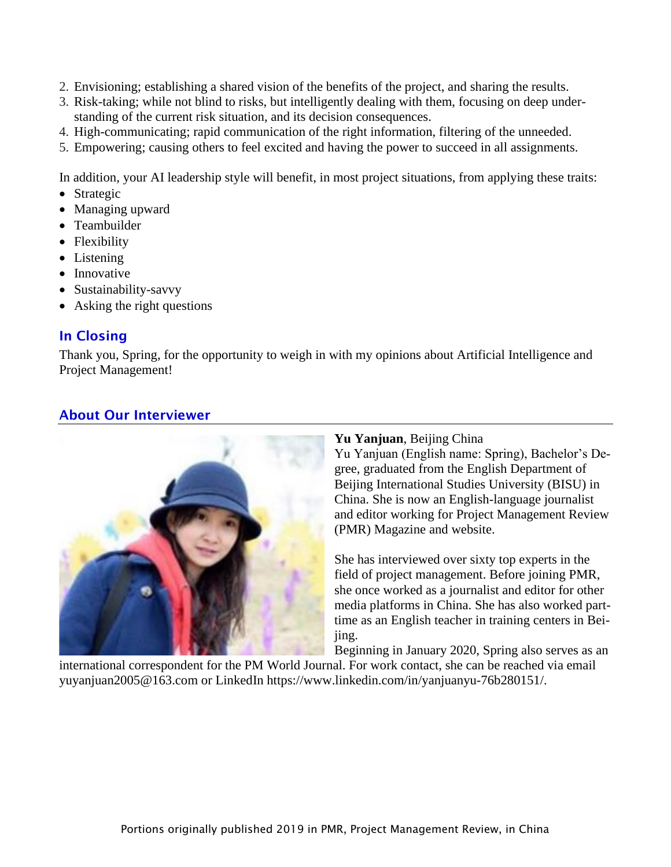- 2. Envisioning; establishing a shared vision of the benefits of the project, and sharing the results.
- 3. Risk-taking; while not blind to risks, but intelligently dealing with them, focusing on deep understanding of the current risk situation, and its decision consequences.
- 4. High-communicating; rapid communication of the right information, filtering of the unneeded.
- 5. Empowering; causing others to feel excited and having the power to succeed in all assignments.

In addition, your AI leadership style will benefit, in most project situations, from applying these traits:

- Strategic
- Managing upward
- Teambuilder
- Flexibility
- Listening
- Innovative
- Sustainability-savvy
- Asking the right questions

# In Closing

Thank you, Spring, for the opportunity to weigh in with my opinions about Artificial Intelligence and Project Management!

# About Our Interviewer



#### **Yu Yanjuan**, Beijing China

Yu Yanjuan (English name: Spring), Bachelor's Degree, graduated from the English Department of Beijing International Studies University (BISU) in China. She is now an English-language journalist and editor working for Project Management Review (PMR) Magazine and website.

She has interviewed over sixty top experts in the field of project management. Before joining PMR, she once worked as a journalist and editor for other media platforms in China. She has also worked parttime as an English teacher in training centers in Beijing.

Beginning in January 2020, Spring also serves as an

international correspondent for the PM World Journal. For work contact, she can be reached via email yuyanjuan2005@163.com or LinkedIn https://www.linkedin.com/in/yanjuanyu-76b280151/.